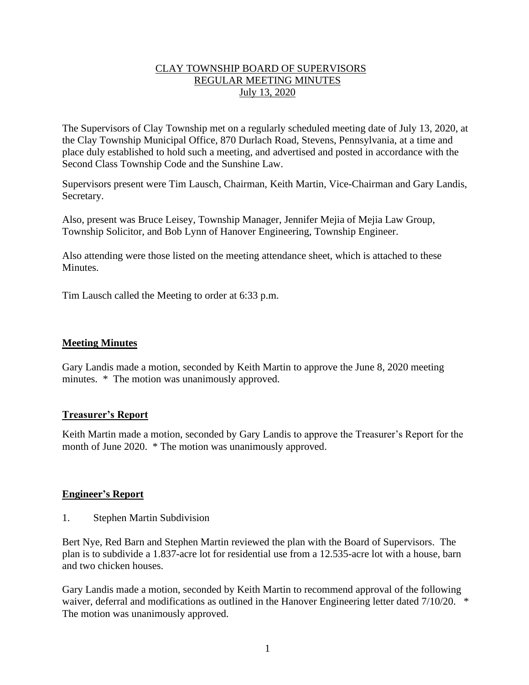# CLAY TOWNSHIP BOARD OF SUPERVISORS REGULAR MEETING MINUTES July 13, 2020

The Supervisors of Clay Township met on a regularly scheduled meeting date of July 13, 2020, at the Clay Township Municipal Office, 870 Durlach Road, Stevens, Pennsylvania, at a time and place duly established to hold such a meeting, and advertised and posted in accordance with the Second Class Township Code and the Sunshine Law.

Supervisors present were Tim Lausch, Chairman, Keith Martin, Vice-Chairman and Gary Landis, Secretary.

Also, present was Bruce Leisey, Township Manager, Jennifer Mejia of Mejia Law Group, Township Solicitor, and Bob Lynn of Hanover Engineering, Township Engineer.

Also attending were those listed on the meeting attendance sheet, which is attached to these Minutes.

Tim Lausch called the Meeting to order at 6:33 p.m.

## **Meeting Minutes**

Gary Landis made a motion, seconded by Keith Martin to approve the June 8, 2020 meeting minutes. \* The motion was unanimously approved.

## **Treasurer's Report**

Keith Martin made a motion, seconded by Gary Landis to approve the Treasurer's Report for the month of June 2020. \* The motion was unanimously approved.

## **Engineer's Report**

1. Stephen Martin Subdivision

Bert Nye, Red Barn and Stephen Martin reviewed the plan with the Board of Supervisors. The plan is to subdivide a 1.837-acre lot for residential use from a 12.535-acre lot with a house, barn and two chicken houses.

Gary Landis made a motion, seconded by Keith Martin to recommend approval of the following waiver, deferral and modifications as outlined in the Hanover Engineering letter dated 7/10/20. \* The motion was unanimously approved.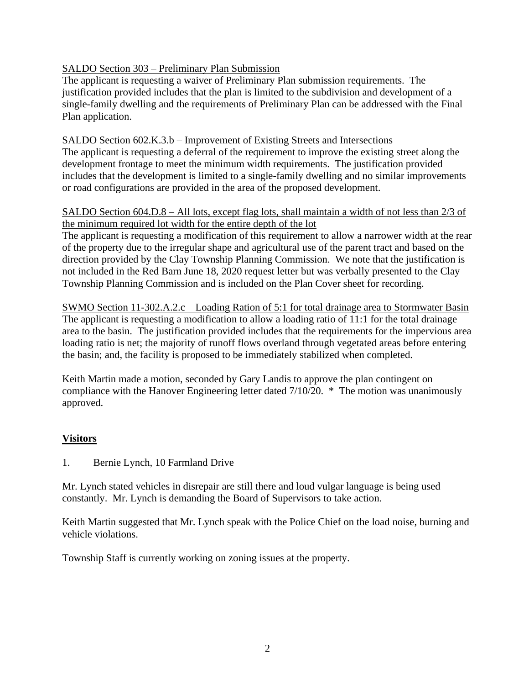# SALDO Section 303 – Preliminary Plan Submission

The applicant is requesting a waiver of Preliminary Plan submission requirements. The justification provided includes that the plan is limited to the subdivision and development of a single-family dwelling and the requirements of Preliminary Plan can be addressed with the Final Plan application.

# SALDO Section 602.K.3.b – Improvement of Existing Streets and Intersections

The applicant is requesting a deferral of the requirement to improve the existing street along the development frontage to meet the minimum width requirements. The justification provided includes that the development is limited to a single-family dwelling and no similar improvements or road configurations are provided in the area of the proposed development.

# SALDO Section 604.D.8 – All lots, except flag lots, shall maintain a width of not less than 2/3 of the minimum required lot width for the entire depth of the lot

The applicant is requesting a modification of this requirement to allow a narrower width at the rear of the property due to the irregular shape and agricultural use of the parent tract and based on the direction provided by the Clay Township Planning Commission. We note that the justification is not included in the Red Barn June 18, 2020 request letter but was verbally presented to the Clay Township Planning Commission and is included on the Plan Cover sheet for recording.

SWMO Section 11-302.A.2.c – Loading Ration of 5:1 for total drainage area to Stormwater Basin The applicant is requesting a modification to allow a loading ratio of 11:1 for the total drainage area to the basin. The justification provided includes that the requirements for the impervious area loading ratio is net; the majority of runoff flows overland through vegetated areas before entering the basin; and, the facility is proposed to be immediately stabilized when completed.

Keith Martin made a motion, seconded by Gary Landis to approve the plan contingent on compliance with the Hanover Engineering letter dated 7/10/20. \* The motion was unanimously approved.

# **Visitors**

1. Bernie Lynch, 10 Farmland Drive

Mr. Lynch stated vehicles in disrepair are still there and loud vulgar language is being used constantly. Mr. Lynch is demanding the Board of Supervisors to take action.

Keith Martin suggested that Mr. Lynch speak with the Police Chief on the load noise, burning and vehicle violations.

Township Staff is currently working on zoning issues at the property.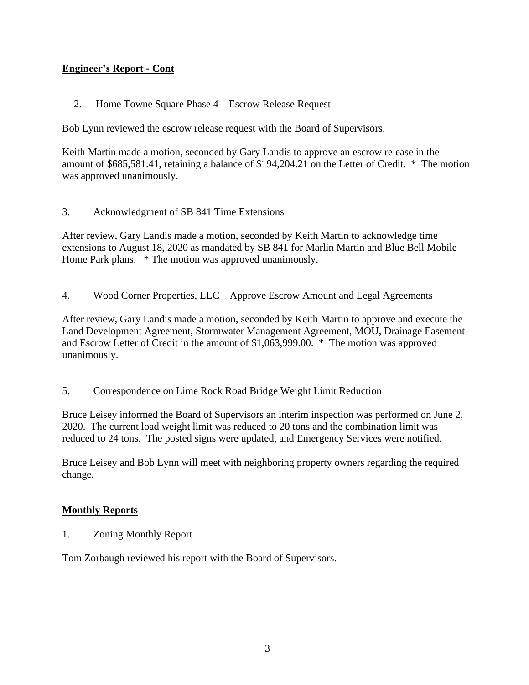# **Engineer's Report - Cont**

2. Home Towne Square Phase 4 – Escrow Release Request

Bob Lynn reviewed the escrow release request with the Board of Supervisors.

Keith Martin made a motion, seconded by Gary Landis to approve an escrow release in the amount of \$685,581.41, retaining a balance of \$194,204.21 on the Letter of Credit. \* The motion was approved unanimously.

3. Acknowledgment of SB 841 Time Extensions

After review, Gary Landis made a motion, seconded by Keith Martin to acknowledge time extensions to August 18, 2020 as mandated by SB 841 for Marlin Martin and Blue Bell Mobile Home Park plans. \* The motion was approved unanimously.

4. Wood Corner Properties, LLC – Approve Escrow Amount and Legal Agreements

After review, Gary Landis made a motion, seconded by Keith Martin to approve and execute the Land Development Agreement, Stormwater Management Agreement, MOU, Drainage Easement and Escrow Letter of Credit in the amount of \$1,063,999.00. \* The motion was approved unanimously.

5. Correspondence on Lime Rock Road Bridge Weight Limit Reduction

Bruce Leisey informed the Board of Supervisors an interim inspection was performed on June 2, 2020. The current load weight limit was reduced to 20 tons and the combination limit was reduced to 24 tons. The posted signs were updated, and Emergency Services were notified.

Bruce Leisey and Bob Lynn will meet with neighboring property owners regarding the required change.

## **Monthly Reports**

1. Zoning Monthly Report

Tom Zorbaugh reviewed his report with the Board of Supervisors.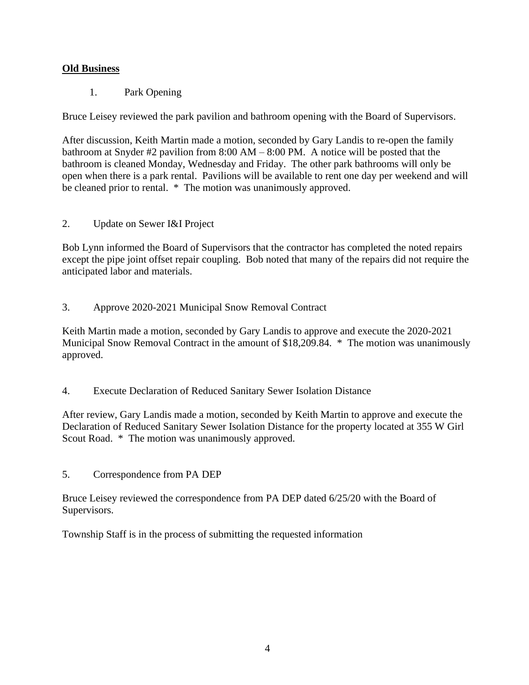# **Old Business**

1. Park Opening

Bruce Leisey reviewed the park pavilion and bathroom opening with the Board of Supervisors.

After discussion, Keith Martin made a motion, seconded by Gary Landis to re-open the family bathroom at Snyder #2 pavilion from 8:00 AM – 8:00 PM. A notice will be posted that the bathroom is cleaned Monday, Wednesday and Friday. The other park bathrooms will only be open when there is a park rental. Pavilions will be available to rent one day per weekend and will be cleaned prior to rental. \* The motion was unanimously approved.

2. Update on Sewer I&I Project

Bob Lynn informed the Board of Supervisors that the contractor has completed the noted repairs except the pipe joint offset repair coupling. Bob noted that many of the repairs did not require the anticipated labor and materials.

3. Approve 2020-2021 Municipal Snow Removal Contract

Keith Martin made a motion, seconded by Gary Landis to approve and execute the 2020-2021 Municipal Snow Removal Contract in the amount of \$18,209.84. \* The motion was unanimously approved.

4. Execute Declaration of Reduced Sanitary Sewer Isolation Distance

After review, Gary Landis made a motion, seconded by Keith Martin to approve and execute the Declaration of Reduced Sanitary Sewer Isolation Distance for the property located at 355 W Girl Scout Road. \* The motion was unanimously approved.

5. Correspondence from PA DEP

Bruce Leisey reviewed the correspondence from PA DEP dated 6/25/20 with the Board of Supervisors.

Township Staff is in the process of submitting the requested information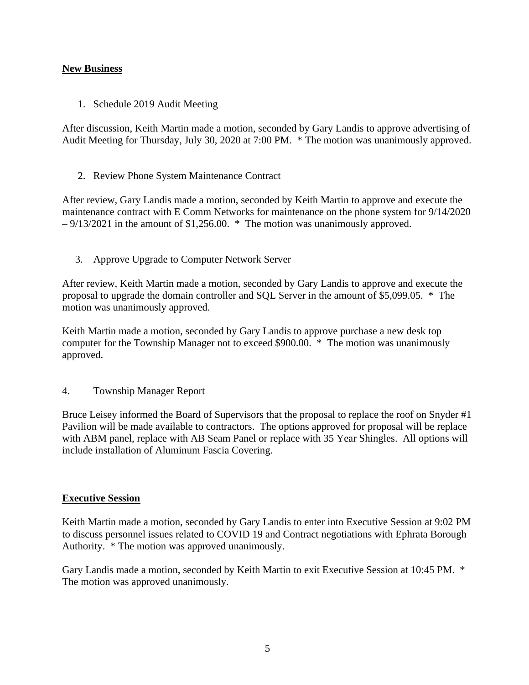# **New Business**

1. Schedule 2019 Audit Meeting

After discussion, Keith Martin made a motion, seconded by Gary Landis to approve advertising of Audit Meeting for Thursday, July 30, 2020 at 7:00 PM. \* The motion was unanimously approved.

2. Review Phone System Maintenance Contract

After review, Gary Landis made a motion, seconded by Keith Martin to approve and execute the maintenance contract with E Comm Networks for maintenance on the phone system for 9/14/2020  $-9/13/2021$  in the amount of \$1,256.00. \* The motion was unanimously approved.

3. Approve Upgrade to Computer Network Server

After review, Keith Martin made a motion, seconded by Gary Landis to approve and execute the proposal to upgrade the domain controller and SQL Server in the amount of \$5,099.05. \* The motion was unanimously approved.

Keith Martin made a motion, seconded by Gary Landis to approve purchase a new desk top computer for the Township Manager not to exceed \$900.00. \* The motion was unanimously approved.

## 4. Township Manager Report

Bruce Leisey informed the Board of Supervisors that the proposal to replace the roof on Snyder #1 Pavilion will be made available to contractors. The options approved for proposal will be replace with ABM panel, replace with AB Seam Panel or replace with 35 Year Shingles. All options will include installation of Aluminum Fascia Covering.

## **Executive Session**

Keith Martin made a motion, seconded by Gary Landis to enter into Executive Session at 9:02 PM to discuss personnel issues related to COVID 19 and Contract negotiations with Ephrata Borough Authority. \* The motion was approved unanimously.

Gary Landis made a motion, seconded by Keith Martin to exit Executive Session at 10:45 PM. \* The motion was approved unanimously.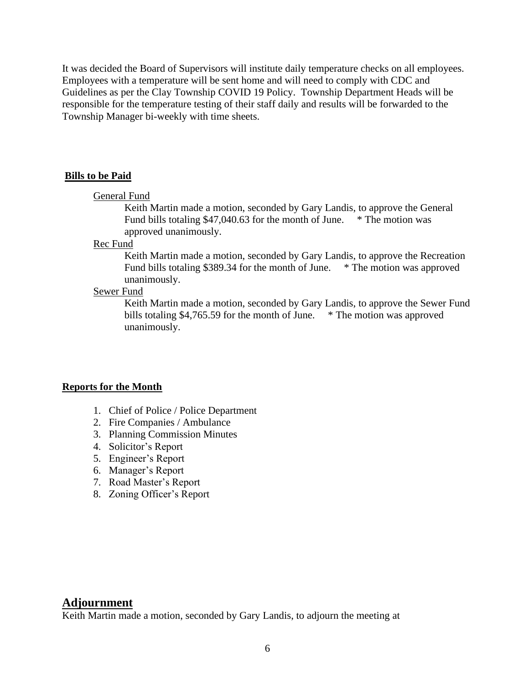It was decided the Board of Supervisors will institute daily temperature checks on all employees. Employees with a temperature will be sent home and will need to comply with CDC and Guidelines as per the Clay Township COVID 19 Policy. Township Department Heads will be responsible for the temperature testing of their staff daily and results will be forwarded to the Township Manager bi-weekly with time sheets.

#### **Bills to be Paid**

## General Fund

Keith Martin made a motion, seconded by Gary Landis, to approve the General Fund bills totaling \$47,040.63 for the month of June. \* The motion was approved unanimously.

#### Rec Fund

Keith Martin made a motion, seconded by Gary Landis, to approve the Recreation Fund bills totaling \$389.34 for the month of June. \* The motion was approved unanimously.

#### Sewer Fund

Keith Martin made a motion, seconded by Gary Landis, to approve the Sewer Fund bills totaling \$4,765.59 for the month of June. \* The motion was approved unanimously.

#### **Reports for the Month**

- 1. Chief of Police / Police Department
- 2. Fire Companies / Ambulance
- 3. Planning Commission Minutes
- 4. Solicitor's Report
- 5. Engineer's Report
- 6. Manager's Report
- 7. Road Master's Report
- 8. Zoning Officer's Report

#### **Adjournment**

Keith Martin made a motion, seconded by Gary Landis, to adjourn the meeting at